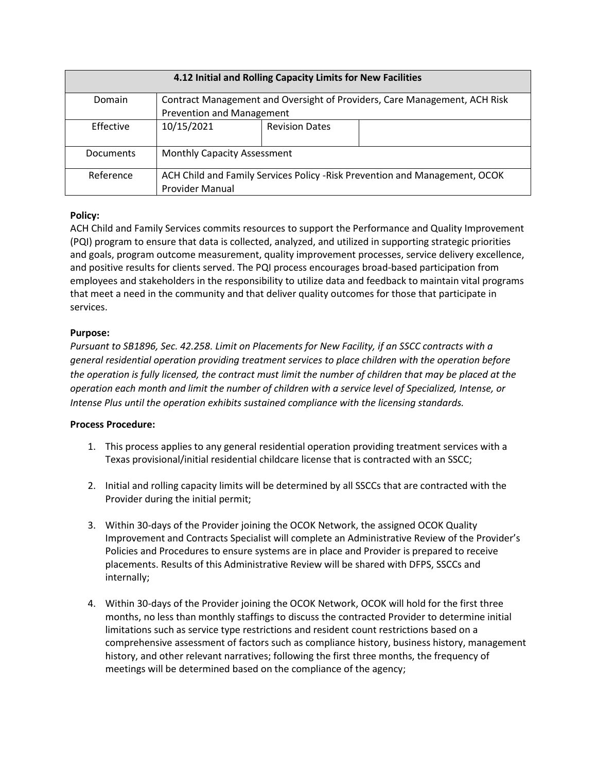| 4.12 Initial and Rolling Capacity Limits for New Facilities |                                                                                                       |                       |  |
|-------------------------------------------------------------|-------------------------------------------------------------------------------------------------------|-----------------------|--|
| Domain                                                      | Contract Management and Oversight of Providers, Care Management, ACH Risk                             |                       |  |
|                                                             | <b>Prevention and Management</b>                                                                      |                       |  |
| Effective                                                   | 10/15/2021                                                                                            | <b>Revision Dates</b> |  |
| <b>Documents</b>                                            | <b>Monthly Capacity Assessment</b>                                                                    |                       |  |
| Reference                                                   | ACH Child and Family Services Policy - Risk Prevention and Management, OCOK<br><b>Provider Manual</b> |                       |  |

## **Policy:**

ACH Child and Family Services commits resources to support the Performance and Quality Improvement (PQI) program to ensure that data is collected, analyzed, and utilized in supporting strategic priorities and goals, program outcome measurement, quality improvement processes, service delivery excellence, and positive results for clients served. The PQI process encourages broad-based participation from employees and stakeholders in the responsibility to utilize data and feedback to maintain vital programs that meet a need in the community and that deliver quality outcomes for those that participate in services.

## **Purpose:**

*Pursuant to SB1896, Sec. 42.258. Limit on Placements for New Facility, if an SSCC contracts with a general residential operation providing treatment services to place children with the operation before the operation is fully licensed, the contract must limit the number of children that may be placed at the operation each month and limit the number of children with a service level of Specialized, Intense, or Intense Plus until the operation exhibits sustained compliance with the licensing standards.*

## **Process Procedure:**

- 1. This process applies to any general residential operation providing treatment services with a Texas provisional/initial residential childcare license that is contracted with an SSCC;
- 2. Initial and rolling capacity limits will be determined by all SSCCs that are contracted with the Provider during the initial permit;
- 3. Within 30-days of the Provider joining the OCOK Network, the assigned OCOK Quality Improvement and Contracts Specialist will complete an Administrative Review of the Provider's Policies and Procedures to ensure systems are in place and Provider is prepared to receive placements. Results of this Administrative Review will be shared with DFPS, SSCCs and internally;
- 4. Within 30-days of the Provider joining the OCOK Network, OCOK will hold for the first three months, no less than monthly staffings to discuss the contracted Provider to determine initial limitations such as service type restrictions and resident count restrictions based on a comprehensive assessment of factors such as compliance history, business history, management history, and other relevant narratives; following the first three months, the frequency of meetings will be determined based on the compliance of the agency;